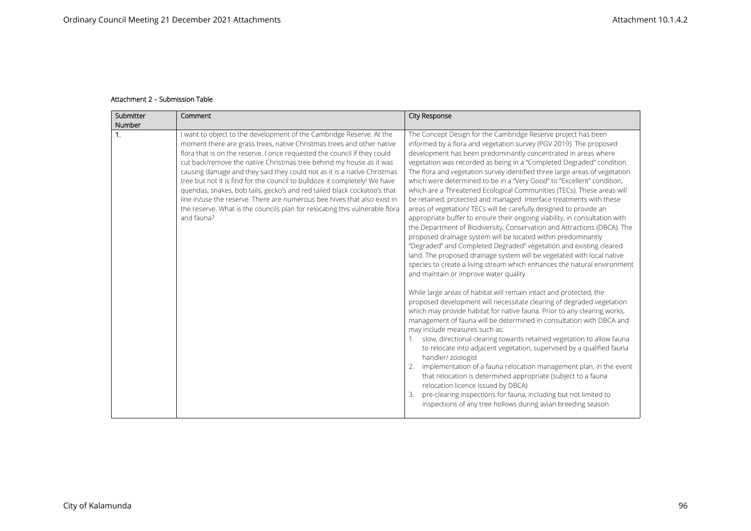## **Attachment 2 – Submission Table**

| Submitter<br>Number | Comment                                                                                                                                                                                                                                                                                                                                                                                                                                                                                                                                                                                                                                                                                                        | City Response                                                                                                                                                                                                                                                                                                                                                                                                                                                                                                                                                                                                                                                                                                                                                                                                                                                                                                                                                                                                                                                                                                                                                                                                                                                                                                                                                                                                                                                                                                                                                                                                                                                                                                                                                                                                                                                                                                                                                                                   |
|---------------------|----------------------------------------------------------------------------------------------------------------------------------------------------------------------------------------------------------------------------------------------------------------------------------------------------------------------------------------------------------------------------------------------------------------------------------------------------------------------------------------------------------------------------------------------------------------------------------------------------------------------------------------------------------------------------------------------------------------|-------------------------------------------------------------------------------------------------------------------------------------------------------------------------------------------------------------------------------------------------------------------------------------------------------------------------------------------------------------------------------------------------------------------------------------------------------------------------------------------------------------------------------------------------------------------------------------------------------------------------------------------------------------------------------------------------------------------------------------------------------------------------------------------------------------------------------------------------------------------------------------------------------------------------------------------------------------------------------------------------------------------------------------------------------------------------------------------------------------------------------------------------------------------------------------------------------------------------------------------------------------------------------------------------------------------------------------------------------------------------------------------------------------------------------------------------------------------------------------------------------------------------------------------------------------------------------------------------------------------------------------------------------------------------------------------------------------------------------------------------------------------------------------------------------------------------------------------------------------------------------------------------------------------------------------------------------------------------------------------------|
| $\mathbf{1}$ .      | I want to object to the development of the Cambridge Reserve. At the<br>moment there are grass trees, native Christmas trees and other native<br>flora that is on the reserve. I once requested the council if they could<br>cut back/remove the native Christmas tree behind my house as it was<br>causing damage and they said they could not as it is a native Christmas<br>tree but not it is find for the council to bulldoze it completely! We have<br>quendas, snakes, bob tails, gecko's and red tailed black cockatoo's that<br>line in/use the reserve. There are numerous bee hives that also exist in<br>the reserve. What is the councils plan for relocating this vulnerable flora<br>and fauna? | The Concept Design for the Cambridge Reserve project has been<br>informed by a flora and vegetation survey (PGV 2019). The proposed<br>development has been predominantly concentrated in areas where<br>vegetation was recorded as being in a "Completed Degraded" condition.<br>The flora and vegetation survey identified three large areas of vegetation<br>which were determined to be in a "Very Good" to "Excellent" condition,<br>which are a Threatened Ecological Communities (TECs). These areas will<br>be retained, protected and managed. Interface treatments with these<br>areas of vegetation/ TECs will be carefully designed to provide an<br>appropriate buffer to ensure their ongoing viability, in consultation with<br>the Department of Biodiversity, Conservation and Attractions (DBCA). The<br>proposed drainage system will be located within predominantly<br>"Degraded" and Completed Degraded" vegetation and existing cleared<br>land. The proposed drainage system will be vegetated with local native<br>species to create a living stream which enhances the natural environment<br>and maintain or improve water quality.<br>While large areas of habitat will remain intact and protected, the<br>proposed development will necessitate clearing of degraded vegetation<br>which may provide habitat for native fauna. Prior to any clearing works,<br>management of fauna will be determined in consultation with DBCA and<br>may include measures such as:<br>1. slow, directional clearing towards retained vegetation to allow fauna<br>to relocate into adjacent vegetation, supervised by a qualified fauna<br>handler/ zoologist<br>implementation of a fauna relocation management plan, in the event<br>that relocation is determined appropriate (subject to a fauna<br>relocation licence issued by DBCA)<br>pre-clearing inspections for fauna, including but not limited to<br>inspections of any tree hollows during avian breeding season. |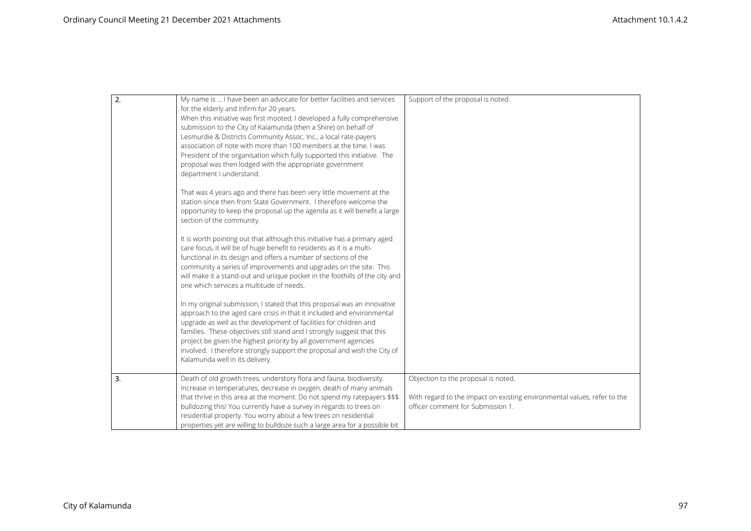| $\overline{2}$ . | My name is  I have been an advocate for better facilities and services<br>for the elderly and infirm for 20 years.<br>When this initiative was first mooted, I developed a fully comprehensive<br>submission to the City of Kalamunda (then a Shire) on behalf of<br>Lesmurdie & Districts Community Assoc. Inc., a local rate-payers<br>association of note with more than 100 members at the time. I was<br>President of the organisation which fully supported this initiative. The<br>proposal was then lodged with the appropriate government<br>department I understand. | Support of the proposal is noted.                                                                                                                    |
|------------------|--------------------------------------------------------------------------------------------------------------------------------------------------------------------------------------------------------------------------------------------------------------------------------------------------------------------------------------------------------------------------------------------------------------------------------------------------------------------------------------------------------------------------------------------------------------------------------|------------------------------------------------------------------------------------------------------------------------------------------------------|
|                  | That was 4 years ago and there has been very little movement at the<br>station since then from State Government. I therefore welcome the<br>opportunity to keep the proposal up the agenda as it will benefit a large<br>section of the community.                                                                                                                                                                                                                                                                                                                             |                                                                                                                                                      |
|                  | It is worth pointing out that although this initiative has a primary aged<br>care focus, it will be of huge benefit to residents as it is a multi-<br>functional in its design and offers a number of sections of the<br>community a series of improvements and upgrades on the site. This<br>will make it a stand-out and unique pocket in the foothills of the city and<br>one which services a multitude of needs.                                                                                                                                                          |                                                                                                                                                      |
|                  | In my original submission, I stated that this proposal was an innovative<br>approach to the aged care crisis in that it included and environmental<br>upgrade as well as the development of facilities for children and<br>families. These objectives still stand and I strongly suggest that this<br>project be given the highest priority by all government agencies<br>involved. I therefore strongly support the proposal and wish the City of<br>Kalamunda well in its delivery.                                                                                          |                                                                                                                                                      |
| 3.               | Death of old growth trees, understory flora and fauna, biodiversity.<br>Increase in temperatures, decrease in oxygen, death of many animals<br>that thrive in this area at the moment. Do not spend my ratepayers \$\$\$<br>bulldozing this! You currently have a survey in regards to trees on<br>residential property. You worry about a few trees on residential<br>properties yet are willing to bulldoze such a large area for a possible bit                                                                                                                             | Objection to the proposal is noted.<br>With regard to the impact on existing environmental values, refer to the<br>officer comment for Submission 1. |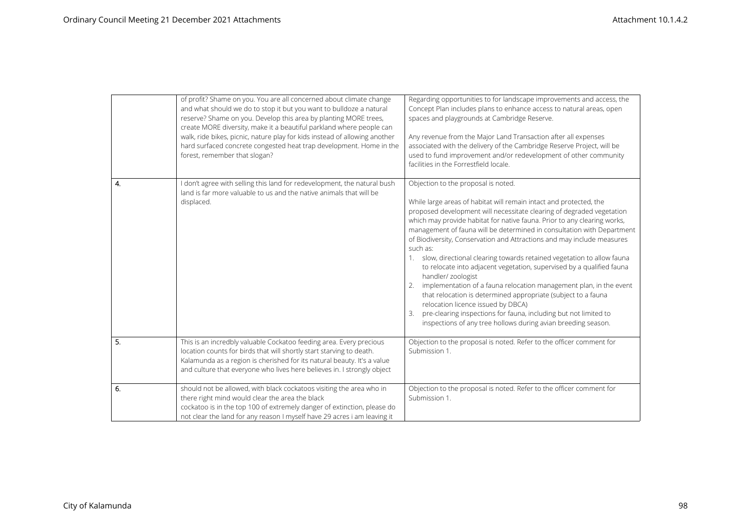|    | of profit? Shame on you. You are all concerned about climate change<br>and what should we do to stop it but you want to bulldoze a natural<br>reserve? Shame on you. Develop this area by planting MORE trees,<br>create MORE diversity, make it a beautiful parkland where people can<br>walk, ride bikes, picnic, nature play for kids instead of allowing another<br>hard surfaced concrete congested heat trap development. Home in the<br>forest, remember that slogan? | Regarding opportunities to for landscape improvements and access, the<br>Concept Plan includes plans to enhance access to natural areas, open<br>spaces and playgrounds at Cambridge Reserve.<br>Any revenue from the Major Land Transaction after all expenses<br>associated with the delivery of the Cambridge Reserve Project, will be<br>used to fund improvement and/or redevelopment of other community<br>facilities in the Forrestfield locale.                                                                                                                                                                                                                                                                                                                                                                                                                                                                     |
|----|------------------------------------------------------------------------------------------------------------------------------------------------------------------------------------------------------------------------------------------------------------------------------------------------------------------------------------------------------------------------------------------------------------------------------------------------------------------------------|-----------------------------------------------------------------------------------------------------------------------------------------------------------------------------------------------------------------------------------------------------------------------------------------------------------------------------------------------------------------------------------------------------------------------------------------------------------------------------------------------------------------------------------------------------------------------------------------------------------------------------------------------------------------------------------------------------------------------------------------------------------------------------------------------------------------------------------------------------------------------------------------------------------------------------|
| 4. | I don't agree with selling this land for redevelopment, the natural bush<br>land is far more valuable to us and the native animals that will be<br>displaced.                                                                                                                                                                                                                                                                                                                | Objection to the proposal is noted.<br>While large areas of habitat will remain intact and protected, the<br>proposed development will necessitate clearing of degraded vegetation<br>which may provide habitat for native fauna. Prior to any clearing works,<br>management of fauna will be determined in consultation with Department<br>of Biodiversity, Conservation and Attractions and may include measures<br>such as:<br>1. slow, directional clearing towards retained vegetation to allow fauna<br>to relocate into adjacent vegetation, supervised by a qualified fauna<br>handler/ zoologist<br>implementation of a fauna relocation management plan, in the event<br>that relocation is determined appropriate (subject to a fauna<br>relocation licence issued by DBCA)<br>pre-clearing inspections for fauna, including but not limited to<br>inspections of any tree hollows during avian breeding season. |
| 5. | This is an incredbly valuable Cockatoo feeding area. Every precious<br>location counts for birds that will shortly start starving to death.<br>Kalamunda as a region is cherished for its natural beauty. It's a value<br>and culture that everyone who lives here believes in. I strongly object                                                                                                                                                                            | Objection to the proposal is noted. Refer to the officer comment for<br>Submission 1.                                                                                                                                                                                                                                                                                                                                                                                                                                                                                                                                                                                                                                                                                                                                                                                                                                       |
| 6. | should not be allowed, with black cockatoos visiting the area who in<br>there right mind would clear the area the black<br>cockatoo is in the top 100 of extremely danger of extinction, please do<br>not clear the land for any reason I myself have 29 acres i am leaving it                                                                                                                                                                                               | Objection to the proposal is noted. Refer to the officer comment for<br>Submission 1.                                                                                                                                                                                                                                                                                                                                                                                                                                                                                                                                                                                                                                                                                                                                                                                                                                       |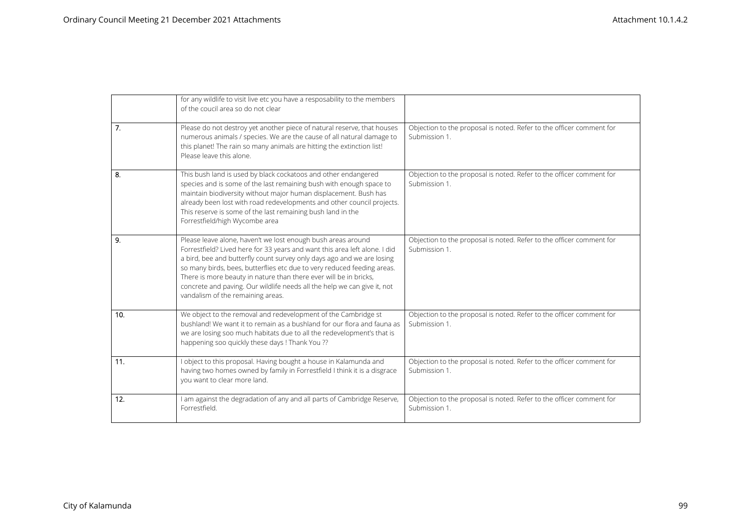|     | for any wildlife to visit live etc you have a resposability to the members<br>of the coucil area so do not clear                                                                                                                                                                                                                                                                                                                                                                      |                                                                                       |
|-----|---------------------------------------------------------------------------------------------------------------------------------------------------------------------------------------------------------------------------------------------------------------------------------------------------------------------------------------------------------------------------------------------------------------------------------------------------------------------------------------|---------------------------------------------------------------------------------------|
| 7.  | Please do not destroy yet another piece of natural reserve, that houses<br>numerous animals / species. We are the cause of all natural damage to<br>this planet! The rain so many animals are hitting the extinction list!<br>Please leave this alone.                                                                                                                                                                                                                                | Objection to the proposal is noted. Refer to the officer comment for<br>Submission 1. |
| 8.  | This bush land is used by black cockatoos and other endangered<br>species and is some of the last remaining bush with enough space to<br>maintain biodiversity without major human displacement. Bush has<br>already been lost with road redevelopments and other council projects.<br>This reserve is some of the last remaining bush land in the<br>Forrestfield/high Wycombe area                                                                                                  | Objection to the proposal is noted. Refer to the officer comment for<br>Submission 1. |
| 9.  | Please leave alone, haven't we lost enough bush areas around<br>Forrestfield? Lived here for 33 years and want this area left alone. I did<br>a bird, bee and butterfly count survey only days ago and we are losing<br>so many birds, bees, butterflies etc due to very reduced feeding areas.<br>There is more beauty in nature than there ever will be in bricks,<br>concrete and paving. Our wildlife needs all the help we can give it, not<br>vandalism of the remaining areas. | Objection to the proposal is noted. Refer to the officer comment for<br>Submission 1. |
| 10. | We object to the removal and redevelopment of the Cambridge st<br>bushland! We want it to remain as a bushland for our flora and fauna as<br>we are losing soo much habitats due to all the redevelopment's that is<br>happening soo quickly these days ! Thank You ??                                                                                                                                                                                                                | Objection to the proposal is noted. Refer to the officer comment for<br>Submission 1. |
| 11. | I object to this proposal. Having bought a house in Kalamunda and<br>having two homes owned by family in Forrestfield I think it is a disgrace<br>you want to clear more land.                                                                                                                                                                                                                                                                                                        | Objection to the proposal is noted. Refer to the officer comment for<br>Submission 1. |
| 12. | I am against the degradation of any and all parts of Cambridge Reserve,<br>Forrestfield.                                                                                                                                                                                                                                                                                                                                                                                              | Objection to the proposal is noted. Refer to the officer comment for<br>Submission 1. |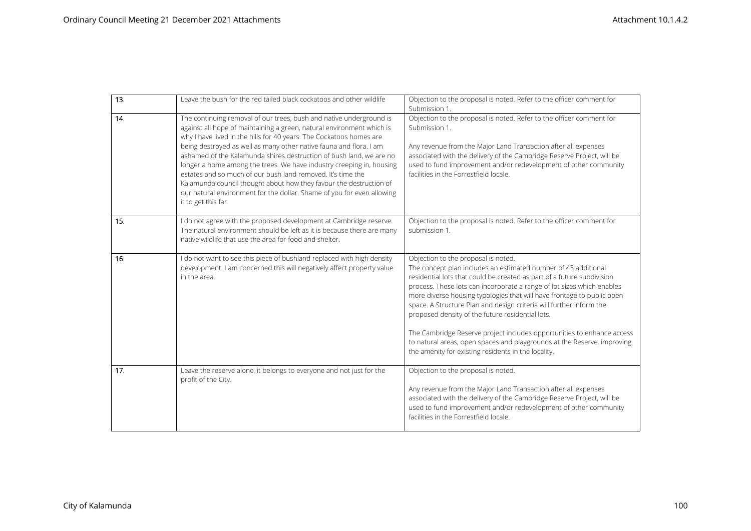| 13. | Leave the bush for the red tailed black cockatoos and other wildlife                                                                                                                                                                                                                                                                                                                                                                                                                                                                                                                                                                                                          | Objection to the proposal is noted. Refer to the officer comment for<br>Submission 1.                                                                                                                                                                                                                                                                                                                                                                                                                                                                                                                                                                                      |
|-----|-------------------------------------------------------------------------------------------------------------------------------------------------------------------------------------------------------------------------------------------------------------------------------------------------------------------------------------------------------------------------------------------------------------------------------------------------------------------------------------------------------------------------------------------------------------------------------------------------------------------------------------------------------------------------------|----------------------------------------------------------------------------------------------------------------------------------------------------------------------------------------------------------------------------------------------------------------------------------------------------------------------------------------------------------------------------------------------------------------------------------------------------------------------------------------------------------------------------------------------------------------------------------------------------------------------------------------------------------------------------|
| 14. | The continuing removal of our trees, bush and native underground is<br>against all hope of maintaining a green, natural environment which is<br>why I have lived in the hills for 40 years. The Cockatoos homes are<br>being destroyed as well as many other native fauna and flora. I am<br>ashamed of the Kalamunda shires destruction of bush land, we are no<br>longer a home among the trees. We have industry creeping in, housing<br>estates and so much of our bush land removed. It's time the<br>Kalamunda council thought about how they favour the destruction of<br>our natural environment for the dollar. Shame of you for even allowing<br>it to get this far | Objection to the proposal is noted. Refer to the officer comment for<br>Submission 1.<br>Any revenue from the Major Land Transaction after all expenses<br>associated with the delivery of the Cambridge Reserve Project, will be<br>used to fund improvement and/or redevelopment of other community<br>facilities in the Forrestfield locale.                                                                                                                                                                                                                                                                                                                            |
| 15. | I do not agree with the proposed development at Cambridge reserve.<br>The natural environment should be left as it is because there are many<br>native wildlife that use the area for food and shelter.                                                                                                                                                                                                                                                                                                                                                                                                                                                                       | Objection to the proposal is noted. Refer to the officer comment for<br>submission 1.                                                                                                                                                                                                                                                                                                                                                                                                                                                                                                                                                                                      |
| 16. | I do not want to see this piece of bushland replaced with high density<br>development. I am concerned this will negatively affect property value<br>in the area.                                                                                                                                                                                                                                                                                                                                                                                                                                                                                                              | Objection to the proposal is noted.<br>The concept plan includes an estimated number of 43 additional<br>residential lots that could be created as part of a future subdivision<br>process. These lots can incorporate a range of lot sizes which enables<br>more diverse housing typologies that will have frontage to public open<br>space. A Structure Plan and design criteria will further inform the<br>proposed density of the future residential lots.<br>The Cambridge Reserve project includes opportunities to enhance access<br>to natural areas, open spaces and playgrounds at the Reserve, improving<br>the amenity for existing residents in the locality. |
| 17. | Leave the reserve alone, it belongs to everyone and not just for the<br>profit of the City.                                                                                                                                                                                                                                                                                                                                                                                                                                                                                                                                                                                   | Objection to the proposal is noted.<br>Any revenue from the Major Land Transaction after all expenses<br>associated with the delivery of the Cambridge Reserve Project, will be<br>used to fund improvement and/or redevelopment of other community<br>facilities in the Forrestfield locale.                                                                                                                                                                                                                                                                                                                                                                              |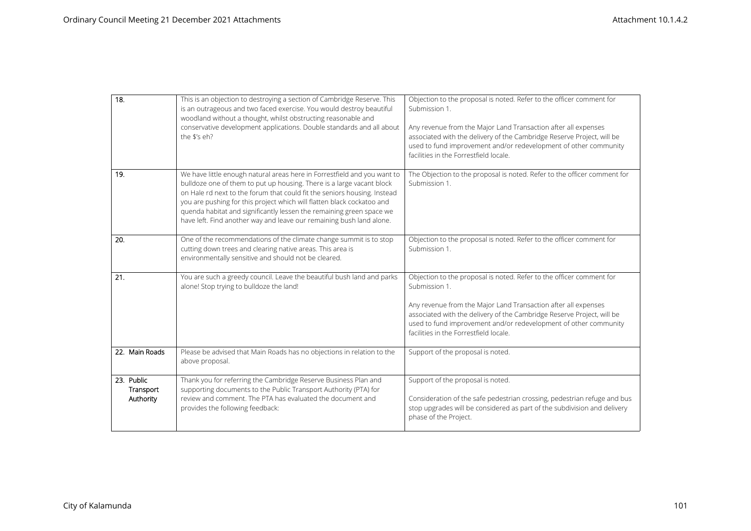| 18.                                  | This is an objection to destroying a section of Cambridge Reserve. This<br>is an outrageous and two faced exercise. You would destroy beautiful<br>woodland without a thought, whilst obstructing reasonable and<br>conservative development applications. Double standards and all about<br>the \$'s eh?                                                                                                                                               | Objection to the proposal is noted. Refer to the officer comment for<br>Submission 1.<br>Any revenue from the Major Land Transaction after all expenses<br>associated with the delivery of the Cambridge Reserve Project, will be<br>used to fund improvement and/or redevelopment of other community<br>facilities in the Forrestfield locale. |
|--------------------------------------|---------------------------------------------------------------------------------------------------------------------------------------------------------------------------------------------------------------------------------------------------------------------------------------------------------------------------------------------------------------------------------------------------------------------------------------------------------|-------------------------------------------------------------------------------------------------------------------------------------------------------------------------------------------------------------------------------------------------------------------------------------------------------------------------------------------------|
| 19.                                  | We have little enough natural areas here in Forrestfield and you want to<br>bulldoze one of them to put up housing. There is a large vacant block<br>on Hale rd next to the forum that could fit the seniors housing. Instead<br>you are pushing for this project which will flatten black cockatoo and<br>quenda habitat and significantly lessen the remaining green space we<br>have left. Find another way and leave our remaining bush land alone. | The Objection to the proposal is noted. Refer to the officer comment for<br>Submission 1.                                                                                                                                                                                                                                                       |
| 20.                                  | One of the recommendations of the climate change summit is to stop<br>cutting down trees and clearing native areas. This area is<br>environmentally sensitive and should not be cleared.                                                                                                                                                                                                                                                                | Objection to the proposal is noted. Refer to the officer comment for<br>Submission 1.                                                                                                                                                                                                                                                           |
| 21.                                  | You are such a greedy council. Leave the beautiful bush land and parks<br>alone! Stop trying to bulldoze the land!                                                                                                                                                                                                                                                                                                                                      | Objection to the proposal is noted. Refer to the officer comment for<br>Submission 1.<br>Any revenue from the Major Land Transaction after all expenses<br>associated with the delivery of the Cambridge Reserve Project, will be<br>used to fund improvement and/or redevelopment of other community<br>facilities in the Forrestfield locale. |
| 22. Main Roads                       | Please be advised that Main Roads has no objections in relation to the<br>above proposal.                                                                                                                                                                                                                                                                                                                                                               | Support of the proposal is noted.                                                                                                                                                                                                                                                                                                               |
| 23. Public<br>Transport<br>Authority | Thank you for referring the Cambridge Reserve Business Plan and<br>supporting documents to the Public Transport Authority (PTA) for<br>review and comment. The PTA has evaluated the document and<br>provides the following feedback:                                                                                                                                                                                                                   | Support of the proposal is noted.<br>Consideration of the safe pedestrian crossing, pedestrian refuge and bus<br>stop upgrades will be considered as part of the subdivision and delivery<br>phase of the Project.                                                                                                                              |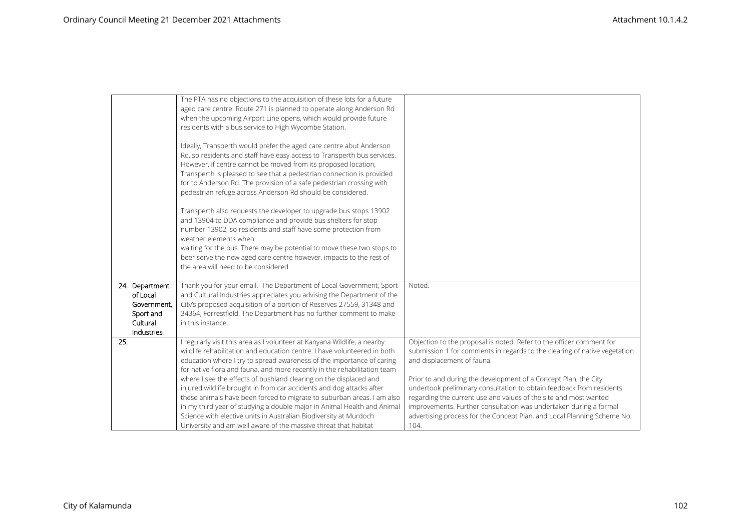|                        | The PTA has no objections to the acquisition of these lots for a future<br>aged care centre. Route 271 is planned to operate along Anderson Rd |                                                                           |
|------------------------|------------------------------------------------------------------------------------------------------------------------------------------------|---------------------------------------------------------------------------|
|                        | when the upcoming Airport Line opens, which would provide future                                                                               |                                                                           |
|                        | residents with a bus service to High Wycombe Station.                                                                                          |                                                                           |
|                        |                                                                                                                                                |                                                                           |
|                        | Ideally, Transperth would prefer the aged care centre abut Anderson                                                                            |                                                                           |
|                        | Rd, so residents and staff have easy access to Transperth bus services.                                                                        |                                                                           |
|                        | However, if centre cannot be moved from its proposed location,                                                                                 |                                                                           |
|                        | Transperth is pleased to see that a pedestrian connection is provided                                                                          |                                                                           |
|                        | for to Anderson Rd. The provision of a safe pedestrian crossing with                                                                           |                                                                           |
|                        | pedestrian refuge across Anderson Rd should be considered.                                                                                     |                                                                           |
|                        |                                                                                                                                                |                                                                           |
|                        | Transperth also requests the developer to upgrade bus stops 13902<br>and 13904 to DDA compliance and provide bus shelters for stop             |                                                                           |
|                        | number 13902, so residents and staff have some protection from                                                                                 |                                                                           |
|                        | weather elements when                                                                                                                          |                                                                           |
|                        | waiting for the bus. There may be potential to move these two stops to                                                                         |                                                                           |
|                        | beer serve the new aged care centre however, impacts to the rest of                                                                            |                                                                           |
|                        | the area will need to be considered.                                                                                                           |                                                                           |
|                        |                                                                                                                                                |                                                                           |
| 24. Department         | Thank you for your email. The Department of Local Government, Sport                                                                            | Noted.                                                                    |
| of Local               | and Cultural Industries appreciates you advising the Department of the                                                                         |                                                                           |
| Government,            | City's proposed acquisition of a portion of Reserves 27559, 31348 and                                                                          |                                                                           |
| Sport and              | 34364, Forrestfield. The Department has no further comment to make                                                                             |                                                                           |
| Cultural<br>Industries | in this instance.                                                                                                                              |                                                                           |
| 25.                    | I regularly visit this area as I volunteer at Kanyana Wildlife, a nearby                                                                       | Objection to the proposal is noted. Refer to the officer comment for      |
|                        | wildlife rehabilitation and education centre. I have volunteered in both                                                                       | submission 1 for comments in regards to the clearing of native vegetation |
|                        | education where I try to spread awareness of the importance of caring                                                                          | and displacement of fauna.                                                |
|                        | for native flora and fauna, and more recently in the rehabilitation team                                                                       |                                                                           |
|                        | where I see the effects of bushland clearing on the displaced and                                                                              | Prior to and during the development of a Concept Plan, the City           |
|                        | injured wildlife brought in from car accidents and dog attacks after                                                                           | undertook preliminary consultation to obtain feedback from residents      |
|                        | these animals have been forced to migrate to suburban areas. I am also                                                                         | regarding the current use and values of the site and most wanted          |
|                        | in my third year of studying a double major in Animal Health and Animal                                                                        | improvements. Further consultation was undertaken during a formal         |
|                        | Science with elective units in Australian Biodiversity at Murdoch                                                                              | advertising process for the Concept Plan, and Local Planning Scheme No.   |
|                        | University and am well aware of the massive threat that habitat                                                                                | 104.                                                                      |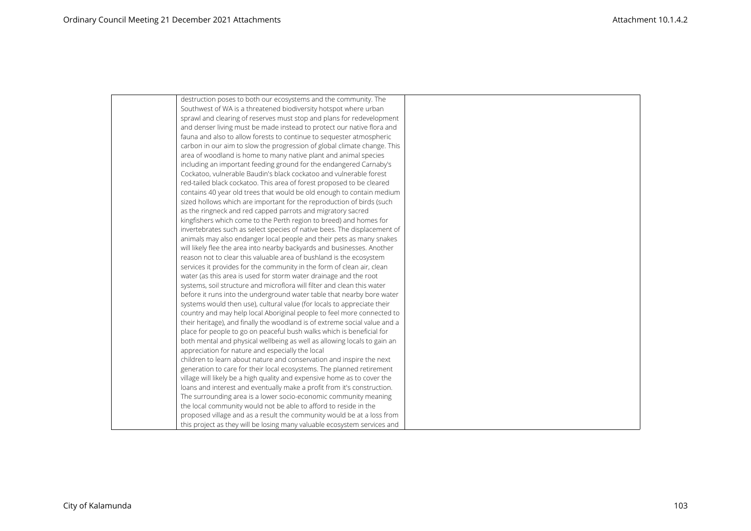| destruction poses to both our ecosystems and the community. The            |  |
|----------------------------------------------------------------------------|--|
| Southwest of WA is a threatened biodiversity hotspot where urban           |  |
| sprawl and clearing of reserves must stop and plans for redevelopment      |  |
| and denser living must be made instead to protect our native flora and     |  |
| fauna and also to allow forests to continue to sequester atmospheric       |  |
| carbon in our aim to slow the progression of global climate change. This   |  |
| area of woodland is home to many native plant and animal species           |  |
| including an important feeding ground for the endangered Carnaby's         |  |
| Cockatoo, vulnerable Baudin's black cockatoo and vulnerable forest         |  |
| red-tailed black cockatoo. This area of forest proposed to be cleared      |  |
| contains 40 year old trees that would be old enough to contain medium      |  |
| sized hollows which are important for the reproduction of birds (such      |  |
| as the ringneck and red capped parrots and migratory sacred                |  |
| kingfishers which come to the Perth region to breed) and homes for         |  |
| invertebrates such as select species of native bees. The displacement of   |  |
| animals may also endanger local people and their pets as many snakes       |  |
| will likely flee the area into nearby backyards and businesses. Another    |  |
| reason not to clear this valuable area of bushland is the ecosystem        |  |
| services it provides for the community in the form of clean air, clean     |  |
| water (as this area is used for storm water drainage and the root          |  |
| systems, soil structure and microflora will filter and clean this water    |  |
| before it runs into the underground water table that nearby bore water     |  |
| systems would then use), cultural value (for locals to appreciate their    |  |
| country and may help local Aboriginal people to feel more connected to     |  |
| their heritage), and finally the woodland is of extreme social value and a |  |
| place for people to go on peaceful bush walks which is beneficial for      |  |
| both mental and physical wellbeing as well as allowing locals to gain an   |  |
| appreciation for nature and especially the local                           |  |
| children to learn about nature and conservation and inspire the next       |  |
| generation to care for their local ecosystems. The planned retirement      |  |
| village will likely be a high quality and expensive home as to cover the   |  |
| loans and interest and eventually make a profit from it's construction.    |  |
| The surrounding area is a lower socio-economic community meaning           |  |
| the local community would not be able to afford to reside in the           |  |
| proposed village and as a result the community would be at a loss from     |  |
| this project as they will be losing many valuable ecosystem services and   |  |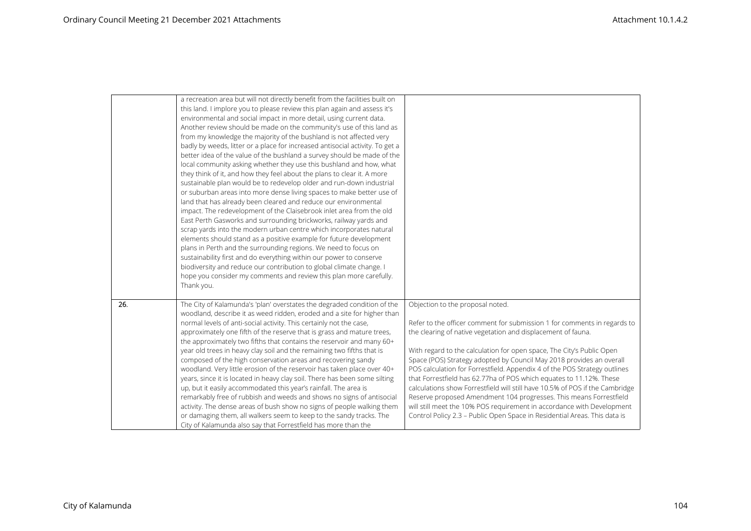|     | a recreation area but will not directly benefit from the facilities built on  |                                                                              |
|-----|-------------------------------------------------------------------------------|------------------------------------------------------------------------------|
|     | this land. I implore you to please review this plan again and assess it's     |                                                                              |
|     | environmental and social impact in more detail, using current data.           |                                                                              |
|     | Another review should be made on the community's use of this land as          |                                                                              |
|     | from my knowledge the majority of the bushland is not affected very           |                                                                              |
|     | badly by weeds, litter or a place for increased antisocial activity. To get a |                                                                              |
|     | better idea of the value of the bushland a survey should be made of the       |                                                                              |
|     | local community asking whether they use this bushland and how, what           |                                                                              |
|     | they think of it, and how they feel about the plans to clear it. A more       |                                                                              |
|     | sustainable plan would be to redevelop older and run-down industrial          |                                                                              |
|     | or suburban areas into more dense living spaces to make better use of         |                                                                              |
|     | land that has already been cleared and reduce our environmental               |                                                                              |
|     | impact. The redevelopment of the Claisebrook inlet area from the old          |                                                                              |
|     | East Perth Gasworks and surrounding brickworks, railway yards and             |                                                                              |
|     | scrap yards into the modern urban centre which incorporates natural           |                                                                              |
|     | elements should stand as a positive example for future development            |                                                                              |
|     | plans in Perth and the surrounding regions. We need to focus on               |                                                                              |
|     | sustainability first and do everything within our power to conserve           |                                                                              |
|     | biodiversity and reduce our contribution to global climate change. I          |                                                                              |
|     | hope you consider my comments and review this plan more carefully.            |                                                                              |
|     | Thank you.                                                                    |                                                                              |
|     |                                                                               |                                                                              |
| 26. | The City of Kalamunda's 'plan' overstates the degraded condition of the       | Objection to the proposal noted.                                             |
|     | woodland, describe it as weed ridden, eroded and a site for higher than       |                                                                              |
|     | normal levels of anti-social activity. This certainly not the case,           | Refer to the officer comment for submission 1 for comments in regards to     |
|     | approximately one fifth of the reserve that is grass and mature trees,        | the clearing of native vegetation and displacement of fauna.                 |
|     | the approximately two fifths that contains the reservoir and many 60+         |                                                                              |
|     | year old trees in heavy clay soil and the remaining two fifths that is        | With regard to the calculation for open space, The City's Public Open        |
|     | composed of the high conservation areas and recovering sandy                  | Space (POS) Strategy adopted by Council May 2018 provides an overall         |
|     | woodland. Very little erosion of the reservoir has taken place over 40+       | POS calculation for Forrestfield. Appendix 4 of the POS Strategy outlines    |
|     | years, since it is located in heavy clay soil. There has been some silting    | that Forrestfield has 62.77ha of POS which equates to 11.12%. These          |
|     | up, but it easily accommodated this year's rainfall. The area is              | calculations show Forrestfield will still have 10.5% of POS if the Cambridge |
|     | remarkably free of rubbish and weeds and shows no signs of antisocial         | Reserve proposed Amendment 104 progresses. This means Forrestfield           |
|     | activity. The dense areas of bush show no signs of people walking them        | will still meet the 10% POS requirement in accordance with Development       |
|     | or damaging them, all walkers seem to keep to the sandy tracks. The           | Control Policy 2.3 - Public Open Space in Residential Areas. This data is    |
|     | City of Kalamunda also say that Forrestfield has more than the                |                                                                              |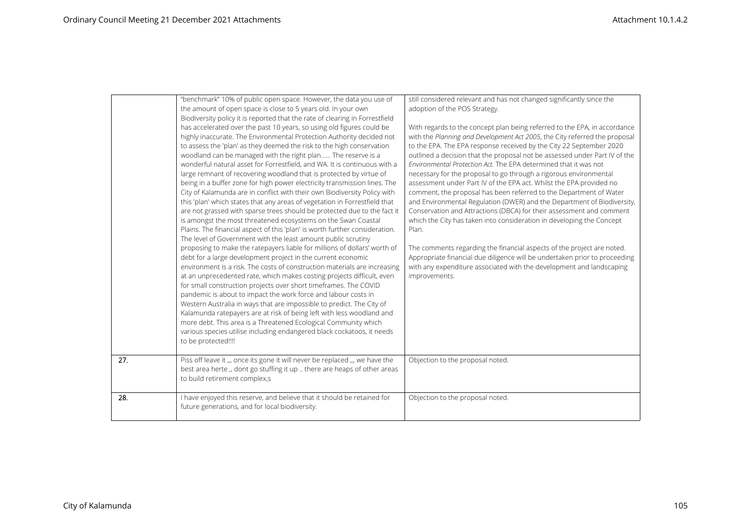|     | "benchmark" 10% of public open space. However, the data you use of<br>the amount of open space is close to 5 years old. In your own<br>Biodiversity policy it is reported that the rate of clearing in Forrestfield<br>has accelerated over the past 10 years, so using old figures could be<br>highly inaccurate. The Environmental Protection Authority decided not<br>to assess the 'plan' as they deemed the risk to the high conservation<br>woodland can be managed with the right plan The reserve is a<br>wonderful natural asset for Forrestfield, and WA. It is continuous with a<br>large remnant of recovering woodland that is protected by virtue of<br>being in a buffer zone for high power electricity transmission lines. The<br>City of Kalamunda are in conflict with their own Biodiversity Policy with<br>this 'plan' which states that any areas of vegetation in Forrestfield that<br>are not grassed with sparse trees should be protected due to the fact it<br>is amongst the most threatened ecosystems on the Swan Coastal<br>Plains. The financial aspect of this 'plan' is worth further consideration.<br>The level of Government with the least amount public scrutiny<br>proposing to make the ratepayers liable for millions of dollars' worth of<br>debt for a large development project in the current economic<br>environment is a risk. The costs of construction materials are increasing<br>at an unprecedented rate, which makes costing projects difficult, even<br>for small construction projects over short timeframes. The COVID<br>pandemic is about to impact the work force and labour costs in<br>Western Australia in ways that are impossible to predict. The City of<br>Kalamunda ratepayers are at risk of being left with less woodland and<br>more debt. This area is a Threatened Ecological Community which | still considered relevant and has not changed significantly since the<br>adoption of the POS Strategy.<br>With regards to the concept plan being referred to the EPA, in accordance<br>with the Planning and Development Act 2005, the City referred the proposal<br>to the EPA. The EPA response received by the City 22 September 2020<br>outlined a decision that the proposal not be assessed under Part IV of the<br>Environmental Protection Act. The EPA determined that it was not<br>necessary for the proposal to go through a rigorous environmental<br>assessment under Part IV of the EPA act. Whilst the EPA provided no<br>comment, the proposal has been referred to the Department of Water<br>and Environmental Regulation (DWER) and the Department of Biodiversity,<br>Conservation and Attractions (DBCA) for their assessment and comment<br>which the City has taken into consideration in developing the Concept<br>Plan.<br>The comments regarding the financial aspects of the project are noted.<br>Appropriate financial due diligence will be undertaken prior to proceeding<br>with any expenditure associated with the development and landscaping<br>improvements. |
|-----|------------------------------------------------------------------------------------------------------------------------------------------------------------------------------------------------------------------------------------------------------------------------------------------------------------------------------------------------------------------------------------------------------------------------------------------------------------------------------------------------------------------------------------------------------------------------------------------------------------------------------------------------------------------------------------------------------------------------------------------------------------------------------------------------------------------------------------------------------------------------------------------------------------------------------------------------------------------------------------------------------------------------------------------------------------------------------------------------------------------------------------------------------------------------------------------------------------------------------------------------------------------------------------------------------------------------------------------------------------------------------------------------------------------------------------------------------------------------------------------------------------------------------------------------------------------------------------------------------------------------------------------------------------------------------------------------------------------------------------------------------------------------------------------------------------------------------------------------------------------------|----------------------------------------------------------------------------------------------------------------------------------------------------------------------------------------------------------------------------------------------------------------------------------------------------------------------------------------------------------------------------------------------------------------------------------------------------------------------------------------------------------------------------------------------------------------------------------------------------------------------------------------------------------------------------------------------------------------------------------------------------------------------------------------------------------------------------------------------------------------------------------------------------------------------------------------------------------------------------------------------------------------------------------------------------------------------------------------------------------------------------------------------------------------------------------------------------|
|     | various species utilise including endangered black cockatoos, it needs<br>to be protected!!!!                                                                                                                                                                                                                                                                                                                                                                                                                                                                                                                                                                                                                                                                                                                                                                                                                                                                                                                                                                                                                                                                                                                                                                                                                                                                                                                                                                                                                                                                                                                                                                                                                                                                                                                                                                          |                                                                                                                                                                                                                                                                                                                                                                                                                                                                                                                                                                                                                                                                                                                                                                                                                                                                                                                                                                                                                                                                                                                                                                                                    |
| 27. | Piss off leave it ,,, once its gone it will never be replaced ,,, we have the<br>best area herte " dont go stuffing it up  there are heaps of other areas<br>to build retirement complex,s                                                                                                                                                                                                                                                                                                                                                                                                                                                                                                                                                                                                                                                                                                                                                                                                                                                                                                                                                                                                                                                                                                                                                                                                                                                                                                                                                                                                                                                                                                                                                                                                                                                                             | Objection to the proposal noted.                                                                                                                                                                                                                                                                                                                                                                                                                                                                                                                                                                                                                                                                                                                                                                                                                                                                                                                                                                                                                                                                                                                                                                   |
| 28. | I have enjoyed this reserve, and believe that it should be retained for<br>future generations, and for local biodiversity.                                                                                                                                                                                                                                                                                                                                                                                                                                                                                                                                                                                                                                                                                                                                                                                                                                                                                                                                                                                                                                                                                                                                                                                                                                                                                                                                                                                                                                                                                                                                                                                                                                                                                                                                             | Objection to the proposal noted.                                                                                                                                                                                                                                                                                                                                                                                                                                                                                                                                                                                                                                                                                                                                                                                                                                                                                                                                                                                                                                                                                                                                                                   |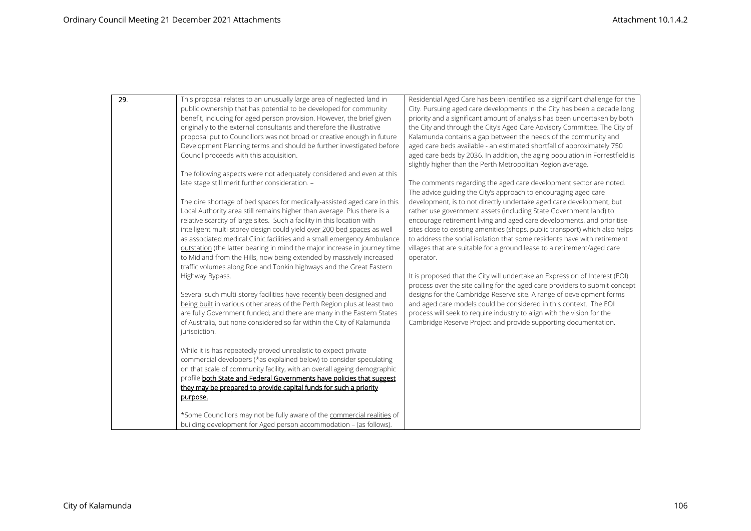| 29. | This proposal relates to an unusually large area of neglected land in                                                                                | Residential Aged Care has been identified as a significant challenge for the                                                                             |
|-----|------------------------------------------------------------------------------------------------------------------------------------------------------|----------------------------------------------------------------------------------------------------------------------------------------------------------|
|     | public ownership that has potential to be developed for community                                                                                    | City. Pursuing aged care developments in the City has been a decade long                                                                                 |
|     | benefit, including for aged person provision. However, the brief given                                                                               | priority and a significant amount of analysis has been undertaken by both                                                                                |
|     | originally to the external consultants and therefore the illustrative                                                                                | the City and through the City's Aged Care Advisory Committee. The City of                                                                                |
|     | proposal put to Councillors was not broad or creative enough in future                                                                               | Kalamunda contains a gap between the needs of the community and                                                                                          |
|     | Development Planning terms and should be further investigated before                                                                                 | aged care beds available - an estimated shortfall of approximately 750                                                                                   |
|     | Council proceeds with this acquisition.                                                                                                              | aged care beds by 2036. In addition, the aging population in Forrestfield is                                                                             |
|     |                                                                                                                                                      | slightly higher than the Perth Metropolitan Region average.                                                                                              |
|     | The following aspects were not adequately considered and even at this                                                                                |                                                                                                                                                          |
|     | late stage still merit further consideration. -                                                                                                      | The comments regarding the aged care development sector are noted.                                                                                       |
|     |                                                                                                                                                      | The advice guiding the City's approach to encouraging aged care                                                                                          |
|     | The dire shortage of bed spaces for medically-assisted aged care in this                                                                             | development, is to not directly undertake aged care development, but                                                                                     |
|     | Local Authority area still remains higher than average. Plus there is a                                                                              | rather use government assets (including State Government land) to                                                                                        |
|     | relative scarcity of large sites. Such a facility in this location with                                                                              | encourage retirement living and aged care developments, and prioritise                                                                                   |
|     | intelligent multi-storey design could yield over 200 bed spaces as well                                                                              | sites close to existing amenities (shops, public transport) which also helps<br>to address the social isolation that some residents have with retirement |
|     | as associated medical Clinic facilities and a small emergency Ambulance<br>outstation (the latter bearing in mind the major increase in journey time |                                                                                                                                                          |
|     | to Midland from the Hills, now being extended by massively increased                                                                                 | villages that are suitable for a ground lease to a retirement/aged care<br>operator.                                                                     |
|     | traffic volumes along Roe and Tonkin highways and the Great Eastern                                                                                  |                                                                                                                                                          |
|     | Highway Bypass.                                                                                                                                      | It is proposed that the City will undertake an Expression of Interest (EOI)                                                                              |
|     |                                                                                                                                                      | process over the site calling for the aged care providers to submit concept                                                                              |
|     | Several such multi-storey facilities have recently been designed and                                                                                 | designs for the Cambridge Reserve site. A range of development forms                                                                                     |
|     | being built in various other areas of the Perth Region plus at least two                                                                             | and aged care models could be considered in this context. The EOI                                                                                        |
|     | are fully Government funded; and there are many in the Eastern States                                                                                | process will seek to require industry to align with the vision for the                                                                                   |
|     | of Australia, but none considered so far within the City of Kalamunda                                                                                | Cambridge Reserve Project and provide supporting documentation.                                                                                          |
|     | jurisdiction.                                                                                                                                        |                                                                                                                                                          |
|     |                                                                                                                                                      |                                                                                                                                                          |
|     | While it is has repeatedly proved unrealistic to expect private                                                                                      |                                                                                                                                                          |
|     | commercial developers (*as explained below) to consider speculating                                                                                  |                                                                                                                                                          |
|     | on that scale of community facility, with an overall ageing demographic                                                                              |                                                                                                                                                          |
|     | profile both State and Federal Governments have policies that suggest                                                                                |                                                                                                                                                          |
|     | they may be prepared to provide capital funds for such a priority                                                                                    |                                                                                                                                                          |
|     | purpose.                                                                                                                                             |                                                                                                                                                          |
|     |                                                                                                                                                      |                                                                                                                                                          |
|     | *Some Councillors may not be fully aware of the commercial realities of                                                                              |                                                                                                                                                          |
|     | building development for Aged person accommodation - (as follows).                                                                                   |                                                                                                                                                          |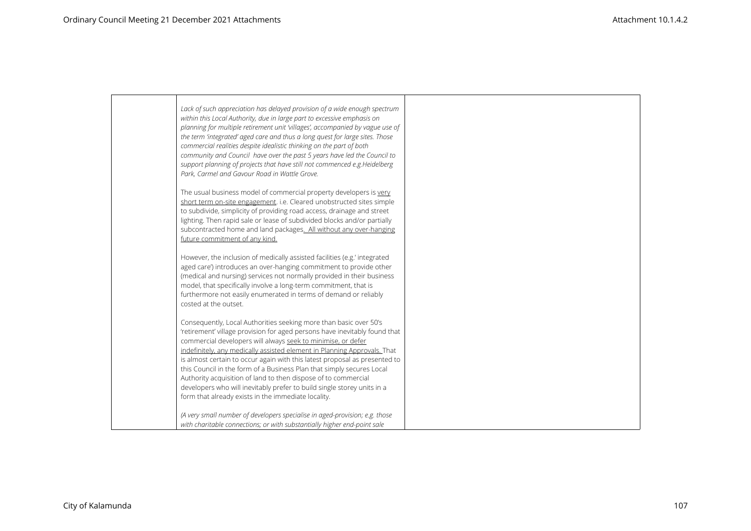| Lack of such appreciation has delayed provision of a wide enough spectrum<br>within this Local Authority, due in large part to excessive emphasis on<br>planning for multiple retirement unit 'villages', accompanied by vague use of<br>the term 'integrated' aged care and thus a long quest for large sites. Those<br>commercial realities despite idealistic thinking on the part of both<br>community and Council have over the past 5 years have led the Council to<br>support planning of projects that have still not commenced e.g. Heidelberg<br>Park, Carmel and Gavour Road in Wattle Grove.                                               |
|--------------------------------------------------------------------------------------------------------------------------------------------------------------------------------------------------------------------------------------------------------------------------------------------------------------------------------------------------------------------------------------------------------------------------------------------------------------------------------------------------------------------------------------------------------------------------------------------------------------------------------------------------------|
| The usual business model of commercial property developers is very<br>short term on-site engagement. i.e. Cleared unobstructed sites simple<br>to subdivide, simplicity of providing road access, drainage and street<br>lighting. Then rapid sale or lease of subdivided blocks and/or partially<br>subcontracted home and land packages. All without any over-hanging<br>future commitment of any kind.                                                                                                                                                                                                                                              |
| However, the inclusion of medically assisted facilities (e.g.' integrated<br>aged care') introduces an over-hanging commitment to provide other<br>(medical and nursing) services not normally provided in their business<br>model, that specifically involve a long-term commitment, that is<br>furthermore not easily enumerated in terms of demand or reliably<br>costed at the outset.                                                                                                                                                                                                                                                             |
| Consequently, Local Authorities seeking more than basic over 50's<br>'retirement' village provision for aged persons have inevitably found that<br>commercial developers will always seek to minimise, or defer<br>indefinitely, any medically assisted element in Planning Approvals. That<br>is almost certain to occur again with this latest proposal as presented to<br>this Council in the form of a Business Plan that simply secures Local<br>Authority acquisition of land to then dispose of to commercial<br>developers who will inevitably prefer to build single storey units in a<br>form that already exists in the immediate locality. |
| (A very small number of developers specialise in aged-provision; e.g. those<br>with charitable connections; or with substantially higher end-point sale                                                                                                                                                                                                                                                                                                                                                                                                                                                                                                |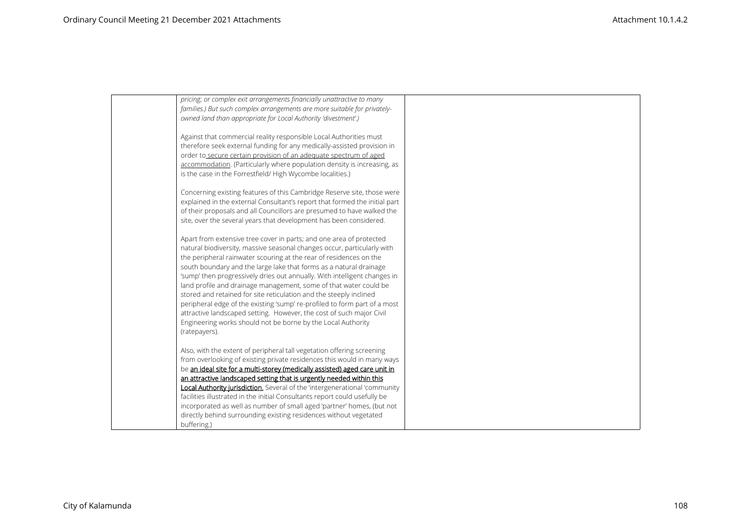| pricing; or complex exit arrangements financially unattractive to many<br>families.) But such complex arrangements are more suitable for privately-  |  |
|------------------------------------------------------------------------------------------------------------------------------------------------------|--|
| owned land than appropriate for Local Authority 'divestment'.)                                                                                       |  |
| Against that commercial reality responsible Local Authorities must                                                                                   |  |
| therefore seek external funding for any medically-assisted provision in                                                                              |  |
| order to secure certain provision of an adequate spectrum of aged                                                                                    |  |
| accommodation. (Particularly where population density is increasing, as                                                                              |  |
| is the case in the Forrestfield/ High Wycombe localities.)                                                                                           |  |
| Concerning existing features of this Cambridge Reserve site, those were                                                                              |  |
| explained in the external Consultant's report that formed the initial part                                                                           |  |
| of their proposals and all Councillors are presumed to have walked the                                                                               |  |
| site, over the several years that development has been considered.                                                                                   |  |
| Apart from extensive tree cover in parts; and one area of protected                                                                                  |  |
| natural biodiversity, massive seasonal changes occur, particularly with                                                                              |  |
| the peripheral rainwater scouring at the rear of residences on the                                                                                   |  |
| south boundary and the large lake that forms as a natural drainage                                                                                   |  |
| 'sump' then progressively dries out annually. With intelligent changes in                                                                            |  |
| land profile and drainage management, some of that water could be                                                                                    |  |
| stored and retained for site reticulation and the steeply inclined                                                                                   |  |
| peripheral edge of the existing 'sump' re-profiled to form part of a most                                                                            |  |
| attractive landscaped setting. However, the cost of such major Civil                                                                                 |  |
| Engineering works should not be borne by the Local Authority<br>(ratepayers).                                                                        |  |
|                                                                                                                                                      |  |
| Also, with the extent of peripheral tall vegetation offering screening                                                                               |  |
| from overlooking of existing private residences this would in many ways                                                                              |  |
| be an ideal site for a multi-storey (medically assisted) aged care unit in                                                                           |  |
| an attractive landscaped setting that is urgently needed within this                                                                                 |  |
| Local Authority jurisdiction. Several of the 'intergenerational 'community                                                                           |  |
| facilities illustrated in the initial Consultants report could usefully be<br>incorporated as well as number of small aged 'partner' homes, (but not |  |
| directly behind surrounding existing residences without vegetated                                                                                    |  |
| buffering.)                                                                                                                                          |  |
|                                                                                                                                                      |  |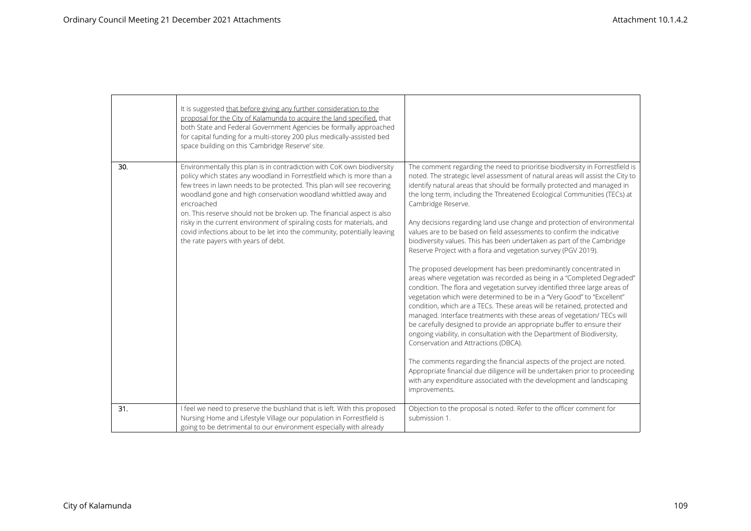|     | It is suggested that before giving any further consideration to the<br>proposal for the City of Kalamunda to acquire the land specified, that<br>both State and Federal Government Agencies be formally approached<br>for capital funding for a multi-storey 200 plus medically-assisted bed<br>space building on this 'Cambridge Reserve' site.                                                                                                                                                                                                                                  |                                                                                                                                                                                                                                                                                                                                                                                                                                                                                                                                                                                                                                                                                                                                                                                                                                                                                                                                                                                                                                                                                                                                                                                                                                                                                                                                                                                                                                                                                                                                                       |
|-----|-----------------------------------------------------------------------------------------------------------------------------------------------------------------------------------------------------------------------------------------------------------------------------------------------------------------------------------------------------------------------------------------------------------------------------------------------------------------------------------------------------------------------------------------------------------------------------------|-------------------------------------------------------------------------------------------------------------------------------------------------------------------------------------------------------------------------------------------------------------------------------------------------------------------------------------------------------------------------------------------------------------------------------------------------------------------------------------------------------------------------------------------------------------------------------------------------------------------------------------------------------------------------------------------------------------------------------------------------------------------------------------------------------------------------------------------------------------------------------------------------------------------------------------------------------------------------------------------------------------------------------------------------------------------------------------------------------------------------------------------------------------------------------------------------------------------------------------------------------------------------------------------------------------------------------------------------------------------------------------------------------------------------------------------------------------------------------------------------------------------------------------------------------|
| 30. | Environmentally this plan is in contradiction with CoK own biodiversity<br>policy which states any woodland in Forrestfield which is more than a<br>few trees in lawn needs to be protected. This plan will see recovering<br>woodland gone and high conservation woodland whittled away and<br>encroached<br>on. This reserve should not be broken up. The financial aspect is also<br>risky in the current environment of spiraling costs for materials, and<br>covid infections about to be let into the community, potentially leaving<br>the rate payers with years of debt. | The comment regarding the need to prioritise biodiversity in Forrestfield is<br>noted. The strategic level assessment of natural areas will assist the City to<br>identify natural areas that should be formally protected and managed in<br>the long term, including the Threatened Ecological Communities (TECs) at<br>Cambridge Reserve.<br>Any decisions regarding land use change and protection of environmental<br>values are to be based on field assessments to confirm the indicative<br>biodiversity values. This has been undertaken as part of the Cambridge<br>Reserve Project with a flora and vegetation survey (PGV 2019).<br>The proposed development has been predominantly concentrated in<br>areas where vegetation was recorded as being in a "Completed Degraded"<br>condition. The flora and vegetation survey identified three large areas of<br>vegetation which were determined to be in a "Very Good" to "Excellent"<br>condition, which are a TECs. These areas will be retained, protected and<br>managed. Interface treatments with these areas of vegetation/ TECs will<br>be carefully designed to provide an appropriate buffer to ensure their<br>ongoing viability, in consultation with the Department of Biodiversity,<br>Conservation and Attractions (DBCA).<br>The comments regarding the financial aspects of the project are noted.<br>Appropriate financial due diligence will be undertaken prior to proceeding<br>with any expenditure associated with the development and landscaping<br>improvements. |
| 31. | I feel we need to preserve the bushland that is left. With this proposed<br>Nursing Home and Lifestyle Village our population in Forrestfield is<br>going to be detrimental to our environment especially with already                                                                                                                                                                                                                                                                                                                                                            | Objection to the proposal is noted. Refer to the officer comment for<br>submission 1.                                                                                                                                                                                                                                                                                                                                                                                                                                                                                                                                                                                                                                                                                                                                                                                                                                                                                                                                                                                                                                                                                                                                                                                                                                                                                                                                                                                                                                                                 |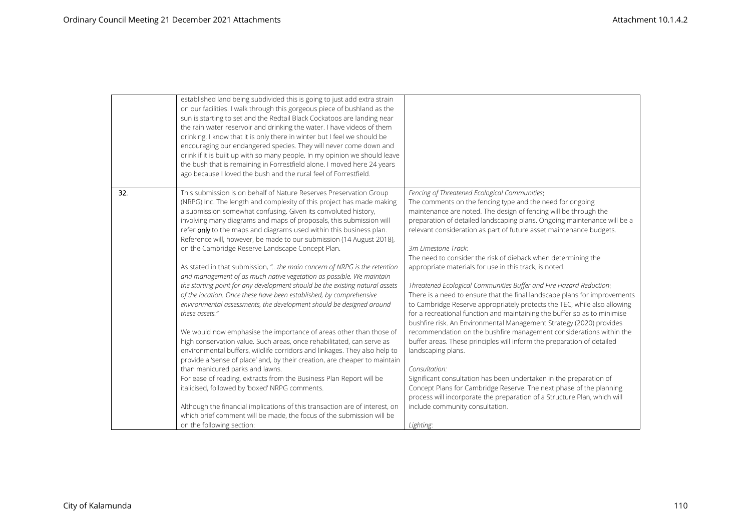|     | established land being subdivided this is going to just add extra strain<br>on our facilities. I walk through this gorgeous piece of bushland as the<br>sun is starting to set and the Redtail Black Cockatoos are landing near<br>the rain water reservoir and drinking the water. I have videos of them<br>drinking. I know that it is only there in winter but I feel we should be<br>encouraging our endangered species. They will never come down and<br>drink if it is built up with so many people. In my opinion we should leave<br>the bush that is remaining in Forrestfield alone. I moved here 24 years<br>ago because I loved the bush and the rural feel of Forrestfield.                                                                                                                                                                                                                                                                                                                                                                                                                                                                                                                                                                                                                                                                                                                                                                                                                                    |                                                                                                                                                                                                                                                                                                                                                                                                                                                                                                                                                                                                                                                                                                                                                                                                                                                                                                                                                                                                                                                                                                                                                                                                                                                                                                                            |
|-----|----------------------------------------------------------------------------------------------------------------------------------------------------------------------------------------------------------------------------------------------------------------------------------------------------------------------------------------------------------------------------------------------------------------------------------------------------------------------------------------------------------------------------------------------------------------------------------------------------------------------------------------------------------------------------------------------------------------------------------------------------------------------------------------------------------------------------------------------------------------------------------------------------------------------------------------------------------------------------------------------------------------------------------------------------------------------------------------------------------------------------------------------------------------------------------------------------------------------------------------------------------------------------------------------------------------------------------------------------------------------------------------------------------------------------------------------------------------------------------------------------------------------------|----------------------------------------------------------------------------------------------------------------------------------------------------------------------------------------------------------------------------------------------------------------------------------------------------------------------------------------------------------------------------------------------------------------------------------------------------------------------------------------------------------------------------------------------------------------------------------------------------------------------------------------------------------------------------------------------------------------------------------------------------------------------------------------------------------------------------------------------------------------------------------------------------------------------------------------------------------------------------------------------------------------------------------------------------------------------------------------------------------------------------------------------------------------------------------------------------------------------------------------------------------------------------------------------------------------------------|
| 32. | This submission is on behalf of Nature Reserves Preservation Group<br>(NRPG) Inc. The length and complexity of this project has made making<br>a submission somewhat confusing. Given its convoluted history,<br>involving many diagrams and maps of proposals, this submission will<br>refer only to the maps and diagrams used within this business plan.<br>Reference will, however, be made to our submission (14 August 2018),<br>on the Cambridge Reserve Landscape Concept Plan.<br>As stated in that submission, "the main concern of NRPG is the retention<br>and management of as much native vegetation as possible. We maintain<br>the starting point for any development should be the existing natural assets<br>of the location. Once these have been established, by comprehensive<br>environmental assessments, the development should be designed around<br>these assets."<br>We would now emphasise the importance of areas other than those of<br>high conservation value. Such areas, once rehabilitated, can serve as<br>environmental buffers, wildlife corridors and linkages. They also help to<br>provide a 'sense of place' and, by their creation, are cheaper to maintain<br>than manicured parks and lawns.<br>For ease of reading, extracts from the Business Plan Report will be<br>italicised, followed by 'boxed' NRPG comments.<br>Although the financial implications of this transaction are of interest, on<br>which brief comment will be made, the focus of the submission will be | Fencing of Threatened Ecological Communities:<br>The comments on the fencing type and the need for ongoing<br>maintenance are noted. The design of fencing will be through the<br>preparation of detailed landscaping plans. Ongoing maintenance will be a<br>relevant consideration as part of future asset maintenance budgets.<br>3m Limestone Track:<br>The need to consider the risk of dieback when determining the<br>appropriate materials for use in this track, is noted.<br>Threatened Ecological Communities Buffer and Fire Hazard Reduction:<br>There is a need to ensure that the final landscape plans for improvements<br>to Cambridge Reserve appropriately protects the TEC, while also allowing<br>for a recreational function and maintaining the buffer so as to minimise<br>bushfire risk. An Environmental Management Strategy (2020) provides<br>recommendation on the bushfire management considerations within the<br>buffer areas. These principles will inform the preparation of detailed<br>landscaping plans.<br>Consultation:<br>Significant consultation has been undertaken in the preparation of<br>Concept Plans for Cambridge Reserve. The next phase of the planning<br>process will incorporate the preparation of a Structure Plan, which will<br>include community consultation. |
|     | on the following section:                                                                                                                                                                                                                                                                                                                                                                                                                                                                                                                                                                                                                                                                                                                                                                                                                                                                                                                                                                                                                                                                                                                                                                                                                                                                                                                                                                                                                                                                                                  | Lighting:                                                                                                                                                                                                                                                                                                                                                                                                                                                                                                                                                                                                                                                                                                                                                                                                                                                                                                                                                                                                                                                                                                                                                                                                                                                                                                                  |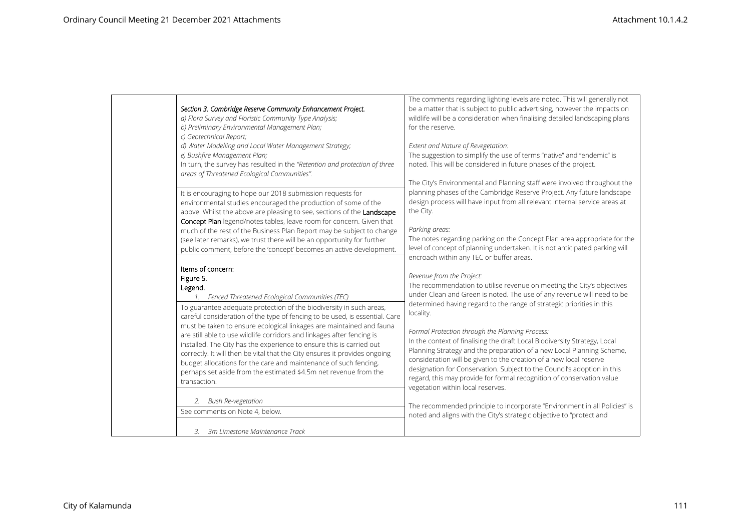| Section 3. Cambridge Reserve Community Enhancement Project.                                                                                                                                                                                          | The comments regarding lighting levels are noted. This will generally not                                                                                                                                                                                           |
|------------------------------------------------------------------------------------------------------------------------------------------------------------------------------------------------------------------------------------------------------|---------------------------------------------------------------------------------------------------------------------------------------------------------------------------------------------------------------------------------------------------------------------|
| a) Flora Survey and Floristic Community Type Analysis;                                                                                                                                                                                               | be a matter that is subject to public advertising, however the impacts on                                                                                                                                                                                           |
| b) Preliminary Environmental Management Plan;                                                                                                                                                                                                        | wildlife will be a consideration when finalising detailed landscaping plans                                                                                                                                                                                         |
| c) Geotechnical Report;                                                                                                                                                                                                                              | for the reserve.                                                                                                                                                                                                                                                    |
| d) Water Modelling and Local Water Management Strategy;                                                                                                                                                                                              | Extent and Nature of Revegetation:                                                                                                                                                                                                                                  |
| e) Bushfire Management Plan;                                                                                                                                                                                                                         | The suggestion to simplify the use of terms "native" and "endemic" is                                                                                                                                                                                               |
| In turn, the survey has resulted in the "Retention and protection of three                                                                                                                                                                           | noted. This will be considered in future phases of the project.                                                                                                                                                                                                     |
| areas of Threatened Ecological Communities".                                                                                                                                                                                                         | The City's Environmental and Planning staff were involved throughout the                                                                                                                                                                                            |
| It is encouraging to hope our 2018 submission requests for                                                                                                                                                                                           | planning phases of the Cambridge Reserve Project. Any future landscape                                                                                                                                                                                              |
| environmental studies encouraged the production of some of the                                                                                                                                                                                       | design process will have input from all relevant internal service areas at                                                                                                                                                                                          |
| above. Whilst the above are pleasing to see, sections of the Landscape                                                                                                                                                                               | the City.                                                                                                                                                                                                                                                           |
| Concept Plan legend/notes tables, leave room for concern. Given that                                                                                                                                                                                 | Parking areas:                                                                                                                                                                                                                                                      |
| much of the rest of the Business Plan Report may be subject to change                                                                                                                                                                                | The notes regarding parking on the Concept Plan area appropriate for the                                                                                                                                                                                            |
| (see later remarks), we trust there will be an opportunity for further                                                                                                                                                                               | level of concept of planning undertaken. It is not anticipated parking will                                                                                                                                                                                         |
| public comment, before the 'concept' becomes an active development.                                                                                                                                                                                  | encroach within any TEC or buffer areas.                                                                                                                                                                                                                            |
| Items of concern:<br>Figure 5.<br>Legend.<br>1. Fenced Threatened Ecological Communities (TEC)<br>To guarantee adequate protection of the biodiversity in such areas,<br>careful consideration of the type of fencing to be used, is essential. Care | Revenue from the Project:<br>The recommendation to utilise revenue on meeting the City's objectives<br>under Clean and Green is noted. The use of any revenue will need to be<br>determined having regard to the range of strategic priorities in this<br>locality. |
| must be taken to ensure ecological linkages are maintained and fauna                                                                                                                                                                                 | Formal Protection through the Planning Process:                                                                                                                                                                                                                     |
| are still able to use wildlife corridors and linkages after fencing is                                                                                                                                                                               | In the context of finalising the draft Local Biodiversity Strategy, Local                                                                                                                                                                                           |
| installed. The City has the experience to ensure this is carried out                                                                                                                                                                                 | Planning Strategy and the preparation of a new Local Planning Scheme,                                                                                                                                                                                               |
| correctly. It will then be vital that the City ensures it provides ongoing                                                                                                                                                                           | consideration will be given to the creation of a new local reserve                                                                                                                                                                                                  |
| budget allocations for the care and maintenance of such fencing,                                                                                                                                                                                     | designation for Conservation. Subject to the Council's adoption in this                                                                                                                                                                                             |
| perhaps set aside from the estimated \$4.5m net revenue from the                                                                                                                                                                                     | regard, this may provide for formal recognition of conservation value                                                                                                                                                                                               |
| transaction.                                                                                                                                                                                                                                         | vegetation within local reserves.                                                                                                                                                                                                                                   |
| <b>Bush Re-vegetation</b><br>See comments on Note 4, below.<br>3m Limestone Maintenance Track<br>3.                                                                                                                                                  | The recommended principle to incorporate "Environment in all Policies" is<br>noted and aligns with the City's strategic objective to "protect and                                                                                                                   |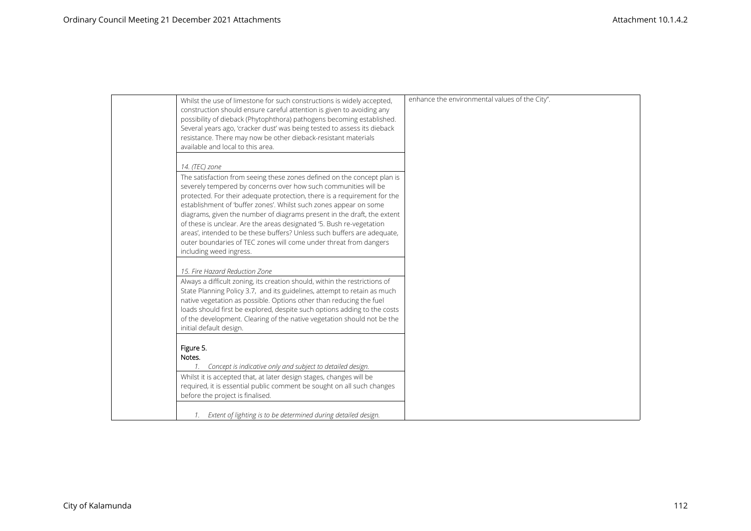| Whilst the use of limestone for such constructions is widely accepted,<br>construction should ensure careful attention is given to avoiding any<br>possibility of dieback (Phytophthora) pathogens becoming established.<br>Several years ago, 'cracker dust' was being tested to assess its dieback<br>resistance. There may now be other dieback-resistant materials<br>available and local to this area.                                                                                                                                                                                                                                 | enhance the environmental values of the City". |
|---------------------------------------------------------------------------------------------------------------------------------------------------------------------------------------------------------------------------------------------------------------------------------------------------------------------------------------------------------------------------------------------------------------------------------------------------------------------------------------------------------------------------------------------------------------------------------------------------------------------------------------------|------------------------------------------------|
| 14. (TEC) zone<br>The satisfaction from seeing these zones defined on the concept plan is<br>severely tempered by concerns over how such communities will be<br>protected. For their adequate protection, there is a requirement for the<br>establishment of 'buffer zones'. Whilst such zones appear on some<br>diagrams, given the number of diagrams present in the draft, the extent<br>of these is unclear. Are the areas designated '5. Bush re-vegetation<br>areas', intended to be these buffers? Unless such buffers are adequate,<br>outer boundaries of TEC zones will come under threat from dangers<br>including weed ingress. |                                                |
| 15. Fire Hazard Reduction Zone<br>Always a difficult zoning, its creation should, within the restrictions of<br>State Planning Policy 3.7, and its guidelines, attempt to retain as much<br>native vegetation as possible. Options other than reducing the fuel<br>loads should first be explored, despite such options adding to the costs<br>of the development. Clearing of the native vegetation should not be the<br>initial default design.                                                                                                                                                                                           |                                                |
| Figure 5.<br>Notes.<br>Concept is indicative only and subject to detailed design.<br>Whilst it is accepted that, at later design stages, changes will be<br>required, it is essential public comment be sought on all such changes<br>before the project is finalised.<br>1. Extent of lighting is to be determined during detailed design.                                                                                                                                                                                                                                                                                                 |                                                |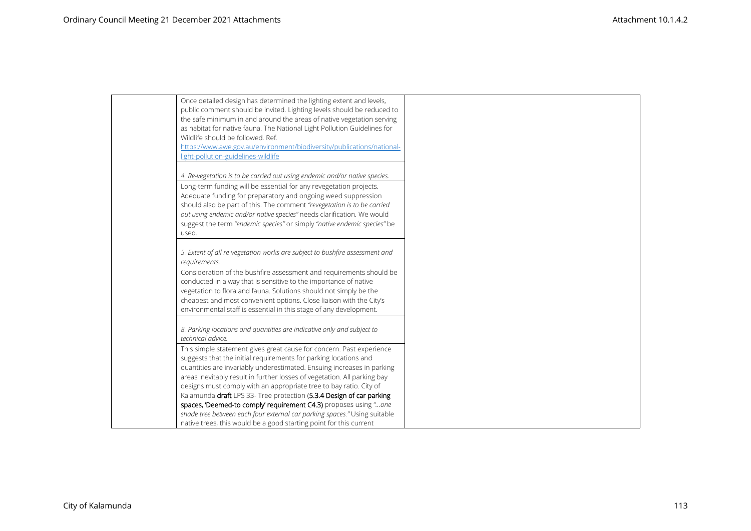| Once detailed design has determined the lighting extent and levels,         |
|-----------------------------------------------------------------------------|
| public comment should be invited. Lighting levels should be reduced to      |
| the safe minimum in and around the areas of native vegetation serving       |
| as habitat for native fauna. The National Light Pollution Guidelines for    |
| Wildlife should be followed. Ref.                                           |
| https://www.awe.gov.au/environment/biodiversity/publications/national-      |
| light-pollution-guidelines-wildlife                                         |
|                                                                             |
| 4. Re-vegetation is to be carried out using endemic and/or native species.  |
| Long-term funding will be essential for any revegetation projects.          |
| Adequate funding for preparatory and ongoing weed suppression               |
| should also be part of this. The comment "revegetation is to be carried     |
| out using endemic and/or native species" needs clarification. We would      |
| suggest the term "endemic species" or simply "native endemic species" be    |
| used.                                                                       |
|                                                                             |
| 5. Extent of all re-vegetation works are subject to bushfire assessment and |
| requirements.                                                               |
| Consideration of the bushfire assessment and requirements should be         |
| conducted in a way that is sensitive to the importance of native            |
| vegetation to flora and fauna. Solutions should not simply be the           |
| cheapest and most convenient options. Close liaison with the City's         |
| environmental staff is essential in this stage of any development.          |
|                                                                             |
| 8. Parking locations and quantities are indicative only and subject to      |
| technical advice.                                                           |
| This simple statement gives great cause for concern. Past experience        |
| suggests that the initial requirements for parking locations and            |
| quantities are invariably underestimated. Ensuing increases in parking      |
| areas inevitably result in further losses of vegetation. All parking bay    |
| designs must comply with an appropriate tree to bay ratio. City of          |
| Kalamunda draft LPS 33- Tree protection (5.3.4 Design of car parking        |
| spaces, 'Deemed-to comply' requirement C4.3) proposes using "one            |
| shade tree between each four external car parking spaces." Using suitable   |
| native trees, this would be a good starting point for this current          |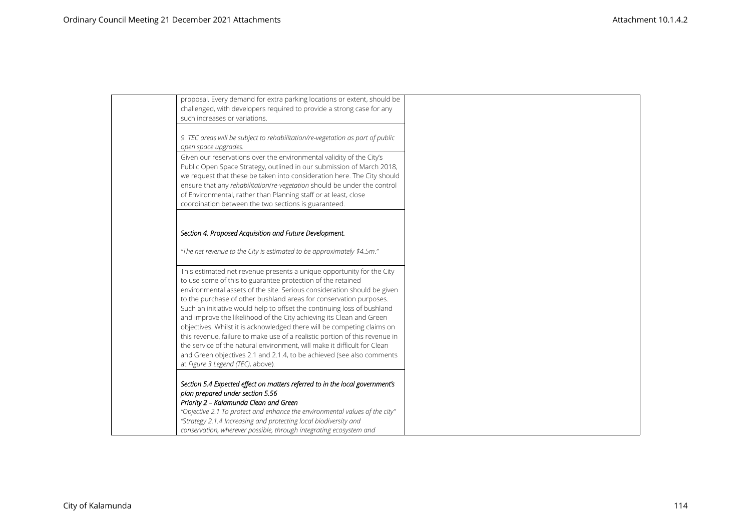| proposal. Every demand for extra parking locations or extent, should be                                                                                |  |
|--------------------------------------------------------------------------------------------------------------------------------------------------------|--|
| challenged, with developers required to provide a strong case for any                                                                                  |  |
| such increases or variations.                                                                                                                          |  |
| 9. TEC areas will be subject to rehabilitation/re-vegetation as part of public                                                                         |  |
| open space upgrades.                                                                                                                                   |  |
| Given our reservations over the environmental validity of the City's                                                                                   |  |
| Public Open Space Strategy, outlined in our submission of March 2018,<br>we request that these be taken into consideration here. The City should       |  |
| ensure that any rehabilitation/re-vegetation should be under the control                                                                               |  |
| of Environmental, rather than Planning staff or at least, close                                                                                        |  |
| coordination between the two sections is guaranteed.                                                                                                   |  |
|                                                                                                                                                        |  |
|                                                                                                                                                        |  |
| Section 4. Proposed Acquisition and Future Development.                                                                                                |  |
| "The net revenue to the City is estimated to be approximately \$4.5m."                                                                                 |  |
| This estimated net revenue presents a unique opportunity for the City                                                                                  |  |
| to use some of this to guarantee protection of the retained                                                                                            |  |
| environmental assets of the site. Serious consideration should be given                                                                                |  |
| to the purchase of other bushland areas for conservation purposes.                                                                                     |  |
| Such an initiative would help to offset the continuing loss of bushland                                                                                |  |
| and improve the likelihood of the City achieving its Clean and Green                                                                                   |  |
| objectives. Whilst it is acknowledged there will be competing claims on<br>this revenue, failure to make use of a realistic portion of this revenue in |  |
| the service of the natural environment, will make it difficult for Clean                                                                               |  |
| and Green objectives 2.1 and 2.1.4, to be achieved (see also comments                                                                                  |  |
| at Figure 3 Legend (TEC), above).                                                                                                                      |  |
|                                                                                                                                                        |  |
| Section 5.4 Expected effect on matters referred to in the local government's                                                                           |  |
| plan prepared under section 5.56                                                                                                                       |  |
| Priority 2 - Kalamunda Clean and Green                                                                                                                 |  |
| "Objective 2.1 To protect and enhance the environmental values of the city"                                                                            |  |
| "Strategy 2.1.4 Increasing and protecting local biodiversity and                                                                                       |  |
| conservation, wherever possible, through integrating ecosystem and                                                                                     |  |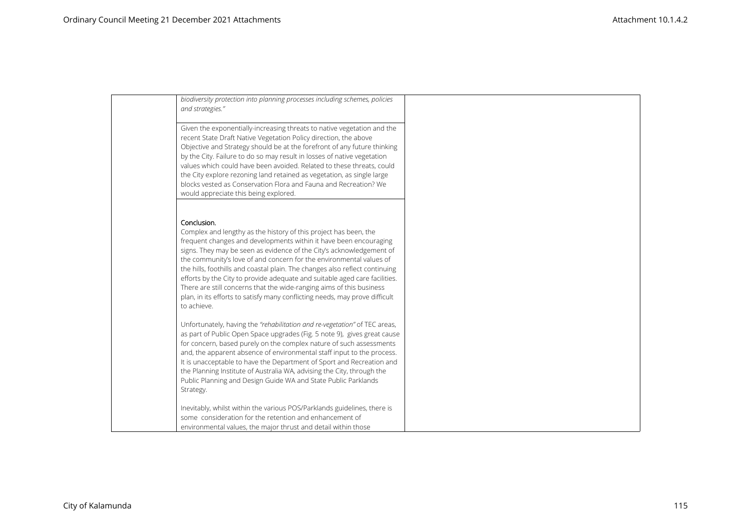| biodiversity protection into planning processes including schemes, policies<br>and strategies."                                                                                                                                                                                                                                                                                                                                                                                                                                                                                                                                        |  |
|----------------------------------------------------------------------------------------------------------------------------------------------------------------------------------------------------------------------------------------------------------------------------------------------------------------------------------------------------------------------------------------------------------------------------------------------------------------------------------------------------------------------------------------------------------------------------------------------------------------------------------------|--|
| Given the exponentially-increasing threats to native vegetation and the<br>recent State Draft Native Vegetation Policy direction, the above<br>Objective and Strategy should be at the forefront of any future thinking<br>by the City. Failure to do so may result in losses of native vegetation<br>values which could have been avoided. Related to these threats, could<br>the City explore rezoning land retained as vegetation, as single large<br>blocks vested as Conservation Flora and Fauna and Recreation? We<br>would appreciate this being explored.                                                                     |  |
| Conclusion.<br>Complex and lengthy as the history of this project has been, the<br>frequent changes and developments within it have been encouraging<br>signs. They may be seen as evidence of the City's acknowledgement of<br>the community's love of and concern for the environmental values of<br>the hills, foothills and coastal plain. The changes also reflect continuing<br>efforts by the City to provide adequate and suitable aged care facilities.<br>There are still concerns that the wide-ranging aims of this business<br>plan, in its efforts to satisfy many conflicting needs, may prove difficult<br>to achieve. |  |
| Unfortunately, having the "rehabilitation and re-vegetation" of TEC areas,<br>as part of Public Open Space upgrades (Fig. 5 note 9), gives great cause<br>for concern, based purely on the complex nature of such assessments<br>and, the apparent absence of environmental staff input to the process.<br>It is unacceptable to have the Department of Sport and Recreation and<br>the Planning Institute of Australia WA, advising the City, through the<br>Public Planning and Design Guide WA and State Public Parklands<br>Strategy.                                                                                              |  |
| Inevitably, whilst within the various POS/Parklands guidelines, there is<br>some consideration for the retention and enhancement of<br>environmental values, the major thrust and detail within those                                                                                                                                                                                                                                                                                                                                                                                                                                  |  |